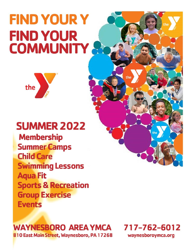# **FIND YOUR Y FIND YOUR COMMUNITY**



# **SUMMER 2022**

**Membership Summer Camps Child Care Swimming Lessons Aqua Fit Sports & Recreation Group Exercise Events** 

### **WAYNESBORO AREA YMCA** 810 East Main Street, Waynesboro, PA 17268



waynesboroymca.org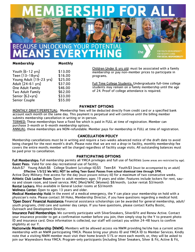**ABERSHIP FO** 

# **BECAUSE UNLOCKING YOUR POTENTIAL EANS EVERYTHI**

FOR HEALTHY LIVING<br><mark>FOR SOCIAL RESPONSIBILITY</mark>

#### **Membership Monthly**

Youth (6-12 yrs) \$13.00 Teen (13-18yrs) \$16.00 Young Adult (19-23 yrs) \$25.00 Adult (24-61 yrs) \$37.00 One Adult Family \$46.00 Two Adult Family \$62.00 Senior (62+yrs) \$33.00 Senior Couple 555.00 Children Under 6 yrs old: must be associated with a family membership or pay non-member prices to participate in programs.

the

Full Time College Students: Undergraduate full-time college students may remain on a family membership until the age of 24. Proof of college attendance is required.

#### **PAYMENT OPTIONS**

MONTHLY DRAFT/PERPETUAL: Membership fees will be deducted directly from credit card or a specified bank account each month on the same day. This payment is perpetual and will continue until the billing member submits membership cancellation in writing or in-person.

TERMED: These memberships have a fixed fee which is paid in FULL at time of registration. Member can purchase 3-month or 6-month membership options.

ANNUAL: these memberships are NON-refundable. Member pays for membership in FULL at time of registration.

#### **CANCELLATION POLICY**

Membership cancellations must be in writing and require a two-weeks advanced notice of the draft date to avoid being charged for the next month's draft. Please note that we are not a drop-in facility, monthly membership fee covers the entire month; member will be charged regardless of facility usage visits. All outstanding balances must be paid prior to cancellation.

#### **PARTICIPATING OPTIONS**

Full Memberships: Full membership permits all YMCA privileges and full use of facilities (some areas are restricted by age). Guest Pass: Valid for one-day recreational use of facility.

Adult:\$7 Young Adult:\$6 College Student (w/college ID):\$5 Teen:\$4 Youth:\$3 (must be accompanied by an adult) Effective 1/3/22 We WILL NOT be selling Teen Guest Passes from school dismissal time through 5PM.

Active Duty Military: free access for the day (must present military ID) for a maximum of two consecutive weeks. Athletic Club Locker Room: Open to adult members ages 19 years and older. Features include lockers for rent, sauna and steam room, and towel service. MAC (Men)/WAC (Women): \$8/month; Locker rental: \$3/month Rental Lockers: Also available in General Locker rooms at \$3/month

Wellness Center: Open to ages 13 years and older.

Medical Membership Hold: In the event of a medical emergency, the Y can place your membership on hold with a physician's note. Please contact Jill Hoko, Membership Director, if you have questions regarding a medical hold. 'Open Doors' Financial Assistance: Financial assistance scholarships can be awarded for general membership, adult/

youth programs, child care and summer day camps. If you have questions, please contact Kathy Bostic, Outreach and Development Director.

Insurance Paid Memberships: We currently participate with SilverSneakers, Silver&Fit and Renew Active. Contact your insurance provider to get a confirmation number before you join; then simply stop by the Y to present photo ID and insurance card. Once information is collected, our staff will contact you within 24-48 hours to confirm eligibility at our Y.

Nationwide Membership (NWM): Members will be allowed access via NWM providing he/she has a current active membership with an NWM participating YMCA. Please bring your photo ID and YMCA ID to Member Services. Kindly note that a visiting NWM member must visit their home branch 51% or more each month; or, they will be asked to join our Waynesboro Area YMCA. Program-only participants (including Silver Sneakers, Silver & Fit, Active & Fit,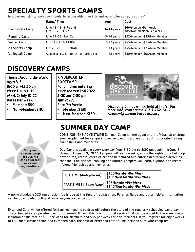### **SPECIALTY SPORTS CAMPS**

Improve your skills, make new friends, be active with other kids and learn to love a sport at the Y!

|                        | Dates/Time                               | Age          | Cost                                              |
|------------------------|------------------------------------------|--------------|---------------------------------------------------|
| Gymnastics Camp        | June 13-16: 4-7p and<br>July 18-21: 4-7p | $6-14$ years | 560/Member/Per Week  <br>\$85/Non Member/Per Week |
| <b>Running Camp</b>    | June 21-23: 9a-12p                       | $5-14$ years | \$22/Member \$45/Non Member                       |
| Soccer Camp            | July 11-14: 9-11:00a                     | 7-12 years   | \$55/Member \$75/Non Member                       |
| All Sports Camp        | July 26-28 9-11:30AM                     | $7-13$ years | \$55/Member \$75/Non Member                       |
| <b>Volleyball Camp</b> | August 8-10: 8-10a AT WASHS GYM          | 7-12 years   | \$40/Member \$65/Non Member                       |

# **DISCOVERY CAMPS**

Theme: Around the World Ages 3-5  $9:00$  am-12:30 pm Week 1: July 11-15 Week 2: July 18-22 **Rates Per Week:** 

- Member: \$90
- Non-Member: \$110

KINDERGARTEN **BOOTCAMP** For children entering Kindergarten Fall 2022  $9:00$  am-2:00 pm **July 25-29** Rate Per Week:

- **Member: \$130**
- Non-Member: \$160 •



Discovery Camps will be held at the Y. For more info, contact the Y: 717-762-6012 Karen.w@waynesboroymca.org



# **SUMMER DAY CAMP**

COME JOIN THE ADVENTURE! Summer Camp is here again and the Y has an exciting summer planned for campers! Summer Camp is a place for youth to create lifelong friendships and memories.

Day Camp is available every weekday from 8:30 am to 5:30 pm beginning June 6 through August 19, 2022. Campers will swim weekly, enjoy the sights on a field trip adventures, create works of art and be amazed and entertained through activities that focus on science, cooking and nature. Campers will learn, explore, and create lifelong friendships and memories.

| <b>FULL TIME (4+days/week)</b> | \$150/Member/Per Week<br>\$195/Non Member/Per Week                           |
|--------------------------------|------------------------------------------------------------------------------|
|                                | \$95/Member/Per Week<br>PART TIME (1-3days/week)   \$140/Non Member/Per Week |

A non-refundable \$25 registration fee is due at the time of registration. Parent's Guide and other helpful information can be downloaded online at [www.waynesboroymca.org.](http://www.waynesboroymca.org/)

Extended Care will be offered for families needing to drop off before the start of the regularly scheduled camp day. The extended care operates from 6:30 am—8:30 am. This is an optional service that can be added to the week's registration at the rate of \$30 per week for members and \$65 per week for non-members. If you register for eight weeks of Full-time summer camp and extended care, the cost of extended care will be included with your camp fee.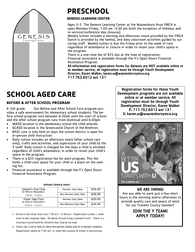

# **PRESCHOOL**

#### **GENESIS LEARNING CENTER**

Ages 3-5 The Genesis Learning Center at the Waynesboro Area YMCA is open Monday-Friday, 7:00 am -5:30 pm (with the exception of holidays and in-service/conference day closures).

Weekly tuition includes a morning and afternoon snack provided by the YMCA (lunch is provided by the family), and daily classroom activities guided by our caring staff. Weekly tuition is due the Friday prior to the week of care regardless of attendance or closure in order to retain your child's space in the program.

There is a one-time fee of \$25 due at the time of registration. Financial assistance is available through the Y's Open Doors Financial Assistance Program.

All information and registration forms for Genesis are NOT available online or at member service, all registration must be through Youth Development Director, Karen Walker, karen.w@waynesboroymca.org 717.762.6012 ext 131

# **SCHOOL AGED CARE**

#### **BEFORE & AFTER SCHOOL PROGRAM**

K-5th grade. Our Before and After School Care program provides a safe environment for elementary school students. The before school program runs between 6:30am until the start of school and the after school program runs from dismissal until 6:00pm

- WASD location is the elementary school the child attends.
- GCASD location is the Greencastle Church of the Brethren.
- BASC care is only held on days the school district is open for in-person child instruction
- Daily tuition includes an afternoon snack (after school care only), crafts and activities, and supervision of your child by the Y staff. Daily tuition is charged for the days a child is enrolled, regardless of child's attendance, in order to retain your child's space in the program.
- There is a \$25 registration fee for each program. This fee holds a child-care space for your child or a place on the waiting list.
- Financial assistance is available through the Y's Open Doors Financial Assistance Program.

| SCHOOL CIOSULE DAYS:                      |                          |         |  |  |  |
|-------------------------------------------|--------------------------|---------|--|--|--|
| School's Out Club<br>@ YMCA in Waynesboro | <b>Member Daily Rate</b> | \$30.00 |  |  |  |
| 7:00 am - 5:30 pm                         | Non-Member Daily Rate    | \$36.00 |  |  |  |
| Snow Day Club<br>@ YMCA in Waynesboro     | <b>Member Daily Rate</b> | \$30.00 |  |  |  |
| $8:00$ am $-5:30$ pm                      | Non-Member Daily Rate    | \$36.00 |  |  |  |

**School Closure Daves** 

• School's Out Club hours are 7:00 am - 5:30 pm. Registration closes 1 week prior to the program date. Students should bring a packed lunch. There is a minimum enrollment for School's Out Club to be held.

• Snow Day Club is held on days the district closes due to inclement weather. Registration opens at 7:00 am, or when the closure of school is announced.

Registration forms for these Youth Development programs are not available online or at member service. All registration must be through Youth Development Director, Karen Walker P: 717.762.6012 ext 131 E: karen.w@waynesboroymca.org



#### WE ARE HIRING!

Are you able to work just a few short hours in the morning and/or afternoon to provide quality care and peace of mind for our Franklin County families?

#### JOIN THE Y TEAM! APPLY TODAY!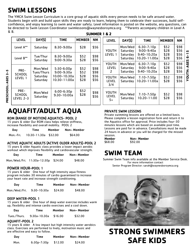### **SWIM LESSONS**

The YMCA Swim Lesson Curriculum is a core group of aquatic skills every person needs to be safe around water. Students begin with and build upon skills they are ready to learn, helping them to celebrate their successes, build selfconfidence, and enjoy learning to swim and water safety. Level information is posted on the website, any questions, can be directed to Swim Lesson Coordinator swimlessons@waynesboroymca.org \*\*Parents accompany children in Level A & B. SUMMER 1 & 2

|                      | <b>LEVEL</b>                       | DAY(S)                                        | <b>TIME</b>                                                    | <b>MEMBER</b>                | <b>NM</b>                    |
|----------------------|------------------------------------|-----------------------------------------------|----------------------------------------------------------------|------------------------------|------------------------------|
|                      | Level A**                          | Saturday                                      | $8:30 - 9:00a$                                                 | \$28                         | \$56                         |
|                      | Level B**                          | Tue/Thur<br>Saturday                          | 8:30-9:00a<br>$9:00 - 9:30a$                                   | \$52<br>\$28                 | \$98<br>\$56                 |
| ףי<br>$\overline{m}$ | PRE-<br>SCHOOL<br>LEVEL 1          | Mon/Wed<br>Tues/Thurs<br>Saturday<br>Saturday | $5:30-6:00p$<br>$9:00 - 9:30a$<br>10:00-10:30a<br>10:30-11:00a | \$52<br>\$52<br>\$28<br>\$28 | \$98<br>\$98<br>\$56<br>\$56 |
| PRESCHOOL: AGES      | PRE-<br><b>SCHOOL</b><br>LEVEL 2-3 | Mon/Wed<br>Saturday                           | $6:00 - 6:30p$<br>$9:30 - 10:00a$                              | \$52<br>\$28                 | \$98<br>\$56                 |
|                      |                                    |                                               | AOUAFIT/ADULT AOUA                                             |                              |                              |

| <b>LEVEL</b>                       | DAY(S)                                      | <b>TIME</b>                                                         | <b>MEMBER</b>                | <b>NM</b>                    |                     |
|------------------------------------|---------------------------------------------|---------------------------------------------------------------------|------------------------------|------------------------------|---------------------|
| YOUTH<br>LEVEL 1                   | Mon/Wed<br>Saturday<br>Saturday<br>Saturday | $6:30 - 7:10p$<br>$9:00 - 9:40a$<br>$9:40 - 10:20a$<br>10:20-11:00a | \$52<br>\$28<br>\$28<br>\$28 | \$98<br>\$56<br>\$56<br>\$56 | m<br>$\overline{1}$ |
| YOUTH<br><b>LEVEL</b><br>2         | Mon/Wed<br>Saturday<br>Saturday             | $6:30 - 7:10p$<br>$9:00 - 9:40a$<br>$9:40 - 10:20a$                 | \$52<br>\$28<br>\$28         | \$98<br>\$56<br>\$56         | <b>YOUTH: AGES</b>  |
| YOUTH<br><b>LEVEL</b><br>3/4       | Mon/Wed<br>Saturday                         | $7:10 - 7:50p$<br>10:20-11:00a                                      | \$52<br>\$28                 | \$98<br>\$56                 |                     |
| <b>YOUTH</b><br><b>LEVEL</b><br>5+ | Mon/Wed<br>Saturday                         | $7:10 - 7:50p$<br>10:20-11:00                                       | \$52<br>\$28                 | \$98<br>\$56                 |                     |

#### ROM (RANGE OF MOTION) AQUATICS- POOL 2

15 years & older Our ROM class helps relieve stiffness, increase flexibility and overall mobility. POOL 2

| Day       | Time                   | Member | Non-Member |
|-----------|------------------------|--------|------------|
| Mon.-Fri. | $10:30-11:30a$ \$32.00 |        | \$64.00    |

#### ACTIVE AQUATIC ADULTS (ACTIVE OLDER ADULTS)-POOL 2

15 years & older Aquatic class provides a lower impact aerobic workout which improves flexibility and cardiovascular strength.

| Day | Time                                 | Member | Non-Member |
|-----|--------------------------------------|--------|------------|
|     | Mon./Wed./Fri. 11:30a-12:30p \$24.00 |        | \$48.00    |

#### POWER HOUR-POOL 1

15 years & older One hour of high intensity aqua fitness program includes 30 minutes of cardio guaranteed to increase your heart rate and increase strength conditioning.

| Day            | Time          | Member  | Non-Member |
|----------------|---------------|---------|------------|
| Mon./Wed./Fri. | $9:30-10:30a$ | \$24.00 | \$48.00    |

#### DEEP WATER-POOL 1

15 years & older One hour of deep water exercise includes warm up, flexibility and intense cardio exercises and a cool down.

| Day          | Time         | Member  | Non-Member |
|--------------|--------------|---------|------------|
| Tues./Thurs. | 9:30a-10:30a | \$16.00 | \$32.00    |

#### AQUAFIT-POOL 2

15 years & older A low impact but high intensity water aerobics class. Exercises are performed to lively, motivation music and are effective and easy to follow.

| Day  | Time          | Member  | Non-Member |
|------|---------------|---------|------------|
| Mon. | $6:30p-7:30p$ | \$12.00 | \$24.00    |

#### PRIVATE SWIM LESSONS

Private swimming lessons are offered on a limited basis. Please complete a lesson registration form and return it to the Aquatics office for approval. Price includes four-30 minutes lessons which are based on available pool time. Lessons are paid for in advance. Cancellations must be made 24 hours in advance or you will be charged for the missed session.

| Member  | Non-Member |
|---------|------------|
| \$68.00 | \$92.00    |

### **SWIM TEAM**

Summer Swim Team info available at the Member Service Desk. For more information contact Senior Program Director: sarah@waynesboroymca.org



# **STRONG SWIMMERS SAFE KIDS**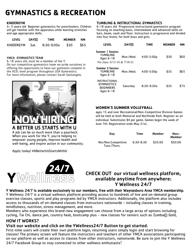# **GYMNASTICS & RECREATION**

#### KINDERGYM

3– 5 years old Beginner gymnastics for preschoolers. Children will get familiar with the apparatus while learning stretches and age appropriate skills.

| <b>LEVEL</b>     | DAY(S) | <b>TIME</b>  | <b>MEMBER</b> | NΜ   |
|------------------|--------|--------------|---------------|------|
| <b>KINDERGYM</b> | - Sat. | $8:30-9:00a$ | \$30          | \$65 |

#### YMCA GYMNASTICS TEAM



A job can be so much more than a paycheck. When you work for the Y, you're helping to empower young people, improve health and well-being, and inspire action in our community.

Apply today! #ABetterUsStartsWithU



#### TUMBLING & INSTRUCTIONAL GYMNASTICS

6-18 years old Progressive instructional gymnastics program focusing on teaching basic, intermediate and advanced skills on bars, beam, vault and floor. Instruction is progressive and divided into four levels, for both boys and girls.

| KINDERGYM            | Sat. | $8:30-9:00a$                                                                                                                                                                                                                        | \$30 | \$65 | <b>LEVEL</b>                                                                      | DAY(S)    | <b>TIME</b>    | <b>MEMBER</b> | NM.  |
|----------------------|------|-------------------------------------------------------------------------------------------------------------------------------------------------------------------------------------------------------------------------------------|------|------|-----------------------------------------------------------------------------------|-----------|----------------|---------------|------|
| YMCA GYMNASTICS TEAM |      | 6-18 years old, must be a member of the Y.                                                                                                                                                                                          |      |      | <b>Summer 1 Session:</b><br><b>TUMBLING</b><br>Ages 6-18                          | Mon./Wed. | $4:00 - 5:00p$ | \$30          | \$60 |
|                      |      | On our competitive gymnastics team we pride ourselves in<br>offering the opportunity to have our gymnasts compete in<br>the XCEL level program throughout USA Gymnastics.<br>For more information, please contact Sarah Santangelo. |      |      | No class: $6/13-16 & 7/18-21$<br><b>Summer 2 Session</b><br>TUMBLING<br>Ages 6-18 | Mon./Wed. | $4:00 - 5:00p$ | \$35          | \$65 |
|                      | the  |                                                                                                                                                                                                                                     |      |      | <b>INSTRUCTIONAL</b><br><b>GYMNASTICS</b><br><b>BEGINNERS</b><br>Ages 6-18        | Saturday  | $8:30-9:30a$   | \$35          | \$75 |

#### **WOMEN'S SUMMER VOLLEYBALL**

ages 15 and over Recreational/Non-Competitive Division Games will be held at both Memorial and Northside Park. Register as an individual. Substitutes \$4 per game. Games begin the week of June 7th. Registration ends May 31st.

| Day                                 | Time          | Member  | Non-<br>Member |
|-------------------------------------|---------------|---------|----------------|
| Rec/Non.Competitive<br>Tues./Thurs. | $6:30 - 8:30$ | \$35.00 | \$50.00        |

#### CHECK OUT our virtual wellness platform, available anytime from anywhere: Y Wellness 24/7

#### Y Wellness 24/7 is available exclusively to our members, free with their Waynesboro Area YMCA membership.

Y Wellness 24/7 is a virtual wellness platform providing access to hundreds of live and on-demand group exercise classes, sports and play programs led by YMCA instructors. Additionally, the platform also includes access to thousands of on-demand classes from instructors nationwide - including classes in training, mindfulness, nutrition, stress management, and more.

Members who experience this brand-new engagement can choose from a large array of options including cycling, Tai Chi, dance jam, country heat, bootcamp plus - new classes for seniors such as Zumba© Gold,

#### HOW IT WORKS?

#### Visit our website and click on the YWellness24/7 Button to get started.

First-time users will create their own platform login; returning users simply login and start browsing for classes! The primary screen will feature the instructors and teachers of other YMCA associations participating on our platform as well as access to classes from other instructors, nationwide. Be sure to join the Y Wellness 24/7 Facebook Group to stay connected to other wellness enthusiasts!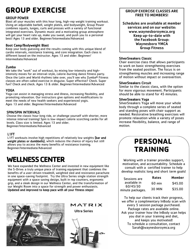# **GROUP EXERCISE**

#### GROUP POWER

Blast all your muscles with this hour long, high-rep weight training workout. Using an adjustable barbell, weight plates, and bodyweight, Group Power combines squats, lunges, curls and presses with a variety of functional integrated exercises. Dynamic music and a motivating group atmosphere will get your heart rate up, make you sweat, and push you to a personal best! Ages 13 and older. Beginner/Intermediate/Advanced

#### Boot Camp/Bodyweight Blast

Keep your body guessing and the results coming with this unique blend of cardio intervals, resistance training, and core integration. Each class is different based on the instructor. Ages 13 and older. Beginner/ Intermediate/Advanced

#### Zumba

We take the "work" out of workout, by mixing low-intensity and highintensity moves for an interval-style, calorie-burning dance fitness party. Once the Latin and World rhythms take over, you'll see why Zumba® Fitness classes are often called exercise in disguise. Super effective? Check. Super fun? Check and check. Ages 13 & older. Beginner/Intermediate/Advanced

#### YOGA

Yoga can assist in managing stress and illness, increasing flexibility, and promoting relaxation. Our instructors give options and modifications to meet the needs of new health seekers and experienced yogis. Ages 13 and older. Beginner/Intermediate/Advanced

#### SPIN/SPIN INTERVALS

Choose the classic hour long ride, or challenge yourself with shorter, more intense interval training! Spin is low-impact calorie scorching cardio for all levels. Class size is limited. Ages 13 and older. Beginner/Intermediate/Advanced

#### L1FT

L1FT workouts involve high repetitions of relatively low weights (bar and weight plates or dumbbells), which reduces the chance of injury but still allows you to access the many benefits of resistance training. Beginner/Intermediate/Advanced

### **WELLNESS CENTER**

We have expanded the Wellness Center and invested in new equipment like the S-Drive: a truly unique piece of training equipment that combines the benefits of a user-driven treadmill, weighted sled and resistance parachute in one space-saving footprint. Try the Ultra Series single station strength equipment with a space saving design, built in rep counters, ergonomic grip, and a sleek design in our Wellness Center, and the transformation of our Weight Room into a space for strength and power enthusiasts. Updated and improved to keep pace with all your fitness steps!



MATRIX

Ultra Series



#### GROUP EXERCISE CLASSES ARE FREE TO MEMBERS!

Schedules are available at member services and on our website: www.waynesboroymca.org Keep up-to-date with the Facebook Group: Waynesboro YMCA Group Fitness

#### SilverSneakers Classic

Chair exercise class that allows participants to work on basic strengthening exercises from the seated position. The focus is on strengthening muscles and increasing range of motion without impact or overexertion.

#### SilverSneakers Circuit

Similar to the classic class, with the option for more vigorous movement. Participants should be able to stand for 45 minutes.

#### SilverSneakers Yoga

SilverSneakers Yoga will move your whole body through a complete series of seated and standing poses with chair support as needed. Restorative breathing exercises will promote relaxation while a variety of poses increase flexibility, balance, and range of motion.

### **PERSONAL TRAINING**

Working with a trainer provides support, motivation, and accountability. Schedule a consult with a certified trainer to help develop realistic long and short term goals!

| Sessions are                 | Rates    | Member  |
|------------------------------|----------|---------|
| available in                 | $60$ min | \$45.00 |
| 60/45/30<br>minute packages. | 30 MIN   | \$35.00 |

To help our clients track their progress, we offer a complimentary InBody scan with every 5 session package purchased. Package rates are available online. Ask your trainer how the InBody scan helps you dial in your training and diet, and keeps you motivated! To schedule a consultation, contact Sarah@waynesboroymca.org